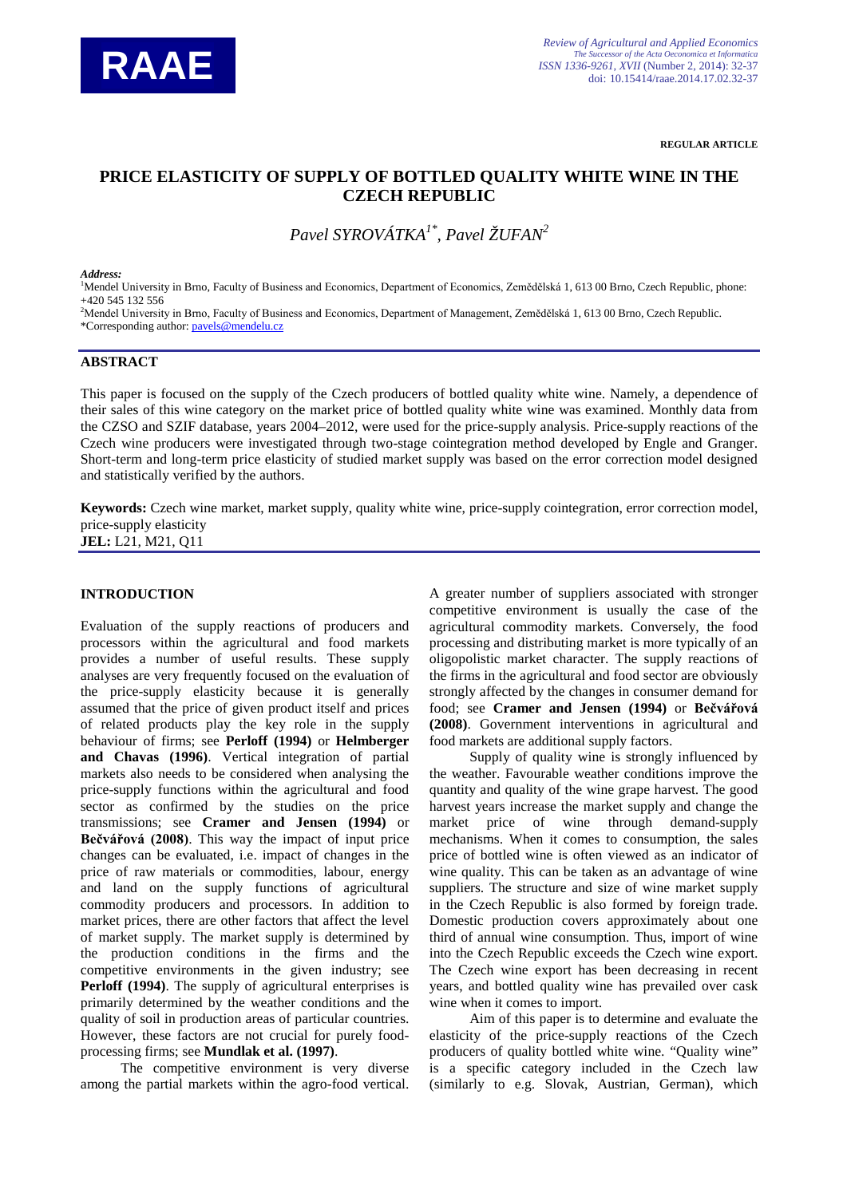

**REGULAR ARTICLE**

# **PRICE ELASTICITY OF SUPPLY OF BOTTLED QUALITY WHITE WINE IN THE CZECH REPUBLIC**

*Pavel SYROVÁTKA1\*, Pavel ŽUFAN2*

#### *Address:*

1 Mendel University in Brno, Faculty of Business and Economics, Department of Economics, Zemědělská 1, 613 00 Brno, Czech Republic, phone: +420 545 132 556

2 Mendel University in Brno, Faculty of Business and Economics, Department of Management, Zemědělská 1, 613 00 Brno, Czech Republic. \*Corresponding author: [pavels@mendelu.cz](mailto:pavels@mendelu.cz)

#### **ABSTRACT**

This paper is focused on the supply of the Czech producers of bottled quality white wine. Namely, a dependence of their sales of this wine category on the market price of bottled quality white wine was examined. Monthly data from the CZSO and SZIF database, years 2004–2012, were used for the price-supply analysis. Price-supply reactions of the Czech wine producers were investigated through two-stage cointegration method developed by Engle and Granger. Short-term and long-term price elasticity of studied market supply was based on the error correction model designed and statistically verified by the authors.

**Keywords:** Czech wine market, market supply, quality white wine, price-supply cointegration, error correction model, price-supply elasticity **JEL:** L21, M21, Q11

### **INTRODUCTION**

Evaluation of the supply reactions of producers and processors within the agricultural and food markets provides a number of useful results. These supply analyses are very frequently focused on the evaluation of the price-supply elasticity because it is generally assumed that the price of given product itself and prices of related products play the key role in the supply behaviour of firms; see **Perloff (1994)** or **Helmberger and Chavas (1996)**. Vertical integration of partial markets also needs to be considered when analysing the price-supply functions within the agricultural and food sector as confirmed by the studies on the price transmissions; see **Cramer and Jensen (1994)** or **Bečvářová (2008)**. This way the impact of input price changes can be evaluated, i.e. impact of changes in the price of raw materials or commodities, labour, energy and land on the supply functions of agricultural commodity producers and processors. In addition to market prices, there are other factors that affect the level of market supply. The market supply is determined by the production conditions in the firms and the competitive environments in the given industry; see **Perloff (1994)**. The supply of agricultural enterprises is primarily determined by the weather conditions and the quality of soil in production areas of particular countries. However, these factors are not crucial for purely foodprocessing firms; see **Mundlak et al. (1997)**.

The competitive environment is very diverse among the partial markets within the agro-food vertical. A greater number of suppliers associated with stronger competitive environment is usually the case of the agricultural commodity markets. Conversely, the food processing and distributing market is more typically of an oligopolistic market character. The supply reactions of the firms in the agricultural and food sector are obviously strongly affected by the changes in consumer demand for food; see **Cramer and Jensen (1994)** or **Bečvářová (2008)**. Government interventions in agricultural and food markets are additional supply factors.

Supply of quality wine is strongly influenced by the weather. Favourable weather conditions improve the quantity and quality of the wine grape harvest. The good harvest years increase the market supply and change the market price of wine through demand-supply mechanisms. When it comes to consumption, the sales price of bottled wine is often viewed as an indicator of wine quality. This can be taken as an advantage of wine suppliers. The structure and size of wine market supply in the Czech Republic is also formed by foreign trade. Domestic production covers approximately about one third of annual wine consumption. Thus, import of wine into the Czech Republic exceeds the Czech wine export. The Czech wine export has been decreasing in recent years, and bottled quality wine has prevailed over cask wine when it comes to import.

Aim of this paper is to determine and evaluate the elasticity of the price-supply reactions of the Czech producers of quality bottled white wine. "Quality wine" is a specific category included in the Czech law (similarly to e.g. Slovak, Austrian, German), which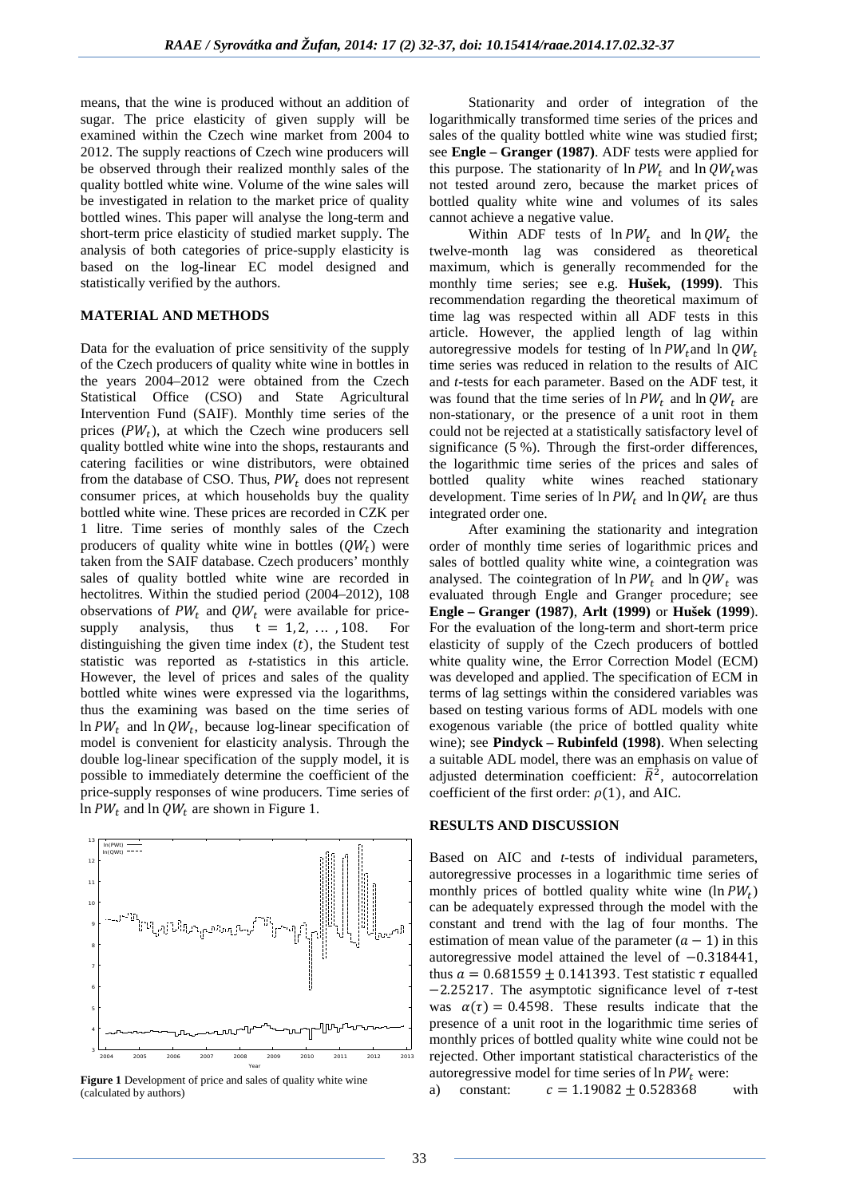means, that the wine is produced without an addition of sugar. The price elasticity of given supply will be examined within the Czech wine market from 2004 to 2012. The supply reactions of Czech wine producers will be observed through their realized monthly sales of the quality bottled white wine. Volume of the wine sales will be investigated in relation to the market price of quality bottled wines. This paper will analyse the long-term and short-term price elasticity of studied market supply. The analysis of both categories of price-supply elasticity is based on the log-linear EC model designed and statistically verified by the authors.

## **MATERIAL AND METHODS**

Data for the evaluation of price sensitivity of the supply of the Czech producers of quality white wine in bottles in the years 2004–2012 were obtained from the Czech Statistical Office (CSO) and State Agricultural Intervention Fund (SAIF). Monthly time series of the prices  $(PW_t)$ , at which the Czech wine producers sell quality bottled white wine into the shops, restaurants and catering facilities or wine distributors, were obtained from the database of CSO. Thus,  $PW_t$  does not represent consumer prices, at which households buy the quality bottled white wine. These prices are recorded in CZK per 1 litre. Time series of monthly sales of the Czech producers of quality white wine in bottles  $(QW_t)$  were taken from the SAIF database. Czech producers' monthly sales of quality bottled white wine are recorded in hectolitres. Within the studied period (2004–2012), 108 observations of  $PW_t$  and  $QW_t$  were available for price-<br>supply analysis, thus  $t = 1, 2, ..., 108$ . For  $t = 1, 2, \ldots, 108.$ distinguishing the given time index  $(t)$ , the Student test statistic was reported as *t*-statistics in this article. However, the level of prices and sales of the quality bottled white wines were expressed via the logarithms, thus the examining was based on the time series of  $\ln PW_t$  and  $\ln QW_t$ , because log-linear specification of model is convenient for elasticity analysis. Through the double log-linear specification of the supply model, it is possible to immediately determine the coefficient of the price-supply responses of wine producers. Time series of  $\ln PW_t$  and  $\ln QW_t$  are shown in Figure 1.



**Figure 1** Development of price and sales of quality white wine (calculated by authors)

Stationarity and order of integration of the logarithmically transformed time series of the prices and sales of the quality bottled white wine was studied first; see **Engle – Granger (1987)**. ADF tests were applied for this purpose. The stationarity of  $\ln PW_t$  and  $\ln QW_t$  was not tested around zero, because the market prices of bottled quality white wine and volumes of its sales cannot achieve a negative value.

Within ADF tests of  $\ln PW_t$  and  $\ln QW_t$  the twelve-month lag was considered as theoretical maximum, which is generally recommended for the monthly time series; see e.g. **Hušek, (1999)**. This recommendation regarding the theoretical maximum of time lag was respected within all ADF tests in this article. However, the applied length of lag within autoregressive models for testing of  $\ln PW_t$  and  $\ln QW_t$ time series was reduced in relation to the results of AIC and *t*-tests for each parameter. Based on the ADF test, it was found that the time series of  $\ln PW_t$  and  $\ln QW_t$  are non-stationary, or the presence of a unit root in them could not be rejected at a statistically satisfactory level of significance (5 %). Through the first-order differences, the logarithmic time series of the prices and sales of bottled quality white wines reached stationary development. Time series of  $\ln PW_t$  and  $\ln QW_t$  are thus integrated order one.

After examining the stationarity and integration order of monthly time series of logarithmic prices and sales of bottled quality white wine, a cointegration was analysed. The cointegration of  $\ln PW_t$  and  $\ln QW_t$  was evaluated through Engle and Granger procedure; see **Engle – Granger (1987)**, **Arlt (1999)** or **Hušek (1999**). For the evaluation of the long-term and short-term price elasticity of supply of the Czech producers of bottled white quality wine, the Error Correction Model (ECM) was developed and applied. The specification of ECM in terms of lag settings within the considered variables was based on testing various forms of ADL models with one exogenous variable (the price of bottled quality white wine); see **Pindyck – Rubinfeld (1998)**. When selecting a suitable ADL model, there was an emphasis on value of adjusted determination coefficient:  $\bar{R}^2$ , autocorrelation coefficient of the first order:  $\rho(1)$ , and AIC.

## **RESULTS AND DISCUSSION**

Based on AIC and *t*-tests of individual parameters, autoregressive processes in a logarithmic time series of monthly prices of bottled quality white wine  $(\ln PW_t)$ can be adequately expressed through the model with the constant and trend with the lag of four months. The estimation of mean value of the parameter  $(a - 1)$  in this autoregressive model attained the level of −0.318441, thus  $a = 0.681559 + 0.141393$ . Test statistic  $\tau$  equalled  $-2.25217$ . The asymptotic significance level of  $\tau$ -test was  $\alpha(\tau) = 0.4598$ . These results indicate that the presence of a unit root in the logarithmic time series of monthly prices of bottled quality white wine could not be rejected. Other important statistical characteristics of the autoregressive model for time series of  $ln PW_t$  were:<br>a) constant:  $c = 1.19082 + 0.528368$ 

 $c = 1.19082 \pm 0.528368$  with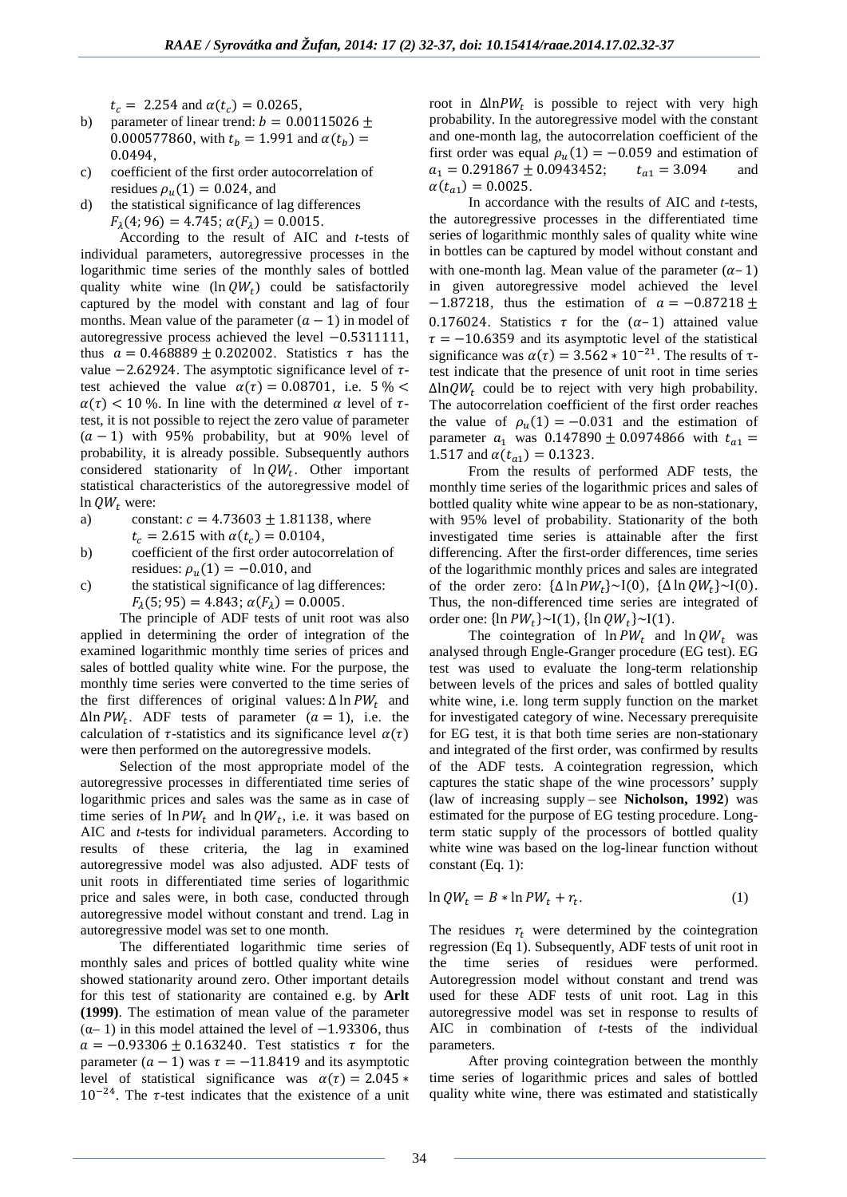$t_c = 2.254$  and  $\alpha(t_c) = 0.0265$ ,

- b) parameter of linear trend:  $b = 0.00115026 \pm$ 0.000577860, with  $t_h = 1.991$  and  $\alpha(t_h) =$ 0.0494,
- c) coefficient of the first order autocorrelation of residues  $\rho_u(1) = 0.024$ , and
- d) the statistical significance of lag differences  $F_{\lambda}(4; 96) = 4.745; \alpha(F_{\lambda}) = 0.0015.$

According to the result of AIC and *t*-tests of individual parameters, autoregressive processes in the logarithmic time series of the monthly sales of bottled quality white wine  $(\ln QW_t)$  could be satisfactorily captured by the model with constant and lag of four months. Mean value of the parameter  $(a - 1)$  in model of autoregressive process achieved the level −0.5311111, thus  $a = 0.468889 \pm 0.202002$ . Statistics  $\tau$  has the value  $-2.62924$ . The asymptotic significance level of  $\tau$ test achieved the value  $\alpha(\tau) = 0.08701$ , i.e. 5 % <  $\alpha(\tau)$  < 10 %. In line with the determined  $\alpha$  level of  $\tau$ test, it is not possible to reject the zero value of parameter  $(a - 1)$  with 95% probability, but at 90% level of probability, it is already possible. Subsequently authors considered stationarity of  $\ln QW_t$ . Other important statistical characteristics of the autoregressive model of

- $ln QW_t$  were:<br>a) cons constant:  $c = 4.73603 \pm 1.81138$ , where  $t_c = 2.615$  with  $\alpha(t_c) = 0.0104$ ,
- b) coefficient of the first order autocorrelation of residues:  $\rho_n(1) = -0.010$ , and
- c) the statistical significance of lag differences:  $F_1(5; 95) = 4.843$ ;  $\alpha(F_1) = 0.0005$ .

The principle of ADF tests of unit root was also applied in determining the order of integration of the examined logarithmic monthly time series of prices and sales of bottled quality white wine. For the purpose, the monthly time series were converted to the time series of the first differences of original values:  $\Delta \ln PW_t$  and  $\Delta$ ln PW<sub>t</sub>. ADF tests of parameter ( $a = 1$ ), i.e. the calculation of  $\tau$ -statistics and its significance level  $\alpha(\tau)$ were then performed on the autoregressive models.

Selection of the most appropriate model of the autoregressive processes in differentiated time series of logarithmic prices and sales was the same as in case of time series of  $\ln PW_t$  and  $\ln QW_t$ , i.e. it was based on AIC and *t*-tests for individual parameters. According to results of these criteria, the lag in examined autoregressive model was also adjusted. ADF tests of unit roots in differentiated time series of logarithmic price and sales were, in both case, conducted through autoregressive model without constant and trend. Lag in autoregressive model was set to one month.

The differentiated logarithmic time series of monthly sales and prices of bottled quality white wine showed stationarity around zero. Other important details for this test of stationarity are contained e.g. by **Arlt (1999)**. The estimation of mean value of the parameter (α– 1) in this model attained the level of −1.93306, thus  $a = -0.93306 \pm 0.163240$ . Test statistics  $\tau$  for the parameter  $(a - 1)$  was  $\tau = -11.8419$  and its asymptotic level of statistical significance was  $\alpha(\tau) = 2.045$  \*  $10^{-24}$ . The  $\tau$ -test indicates that the existence of a unit

root in  $\Delta$ ln  $PW_t$  is possible to reject with very high probability. In the autoregressive model with the constant and one-month lag, the autocorrelation coefficient of the first order was equal  $\rho_u(1) = -0.059$  and estimation of  $a_1 = 0.291867 \pm 0.0943452$ ;  $t_{a1} = 3.094$  and  $a_1 = 0.291867 \pm 0.0943452$ ;  $\alpha(t_{a1}) = 0.0025.$ 

In accordance with the results of AIC and *t*-tests, the autoregressive processes in the differentiated time series of logarithmic monthly sales of quality white wine in bottles can be captured by model without constant and with one-month lag. Mean value of the parameter  $(\alpha - 1)$ in given autoregressive model achieved the level  $-1.87218$ , thus the estimation of  $a = -0.87218 \pm 1.0001$ 0.176024. Statistics  $\tau$  for the  $(\alpha - 1)$  attained value  $\tau = -10.6359$  and its asymptotic level of the statistical significance was  $\alpha(\tau) = 3.562 \times 10^{-21}$ . The results of  $\tau$ test indicate that the presence of unit root in time series  $\Delta$ ln $QW_t$  could be to reject with very high probability. The autocorrelation coefficient of the first order reaches the value of  $\rho_u(1) = -0.031$  and the estimation of parameter  $a_1$  was  $0.147890 \pm 0.0974866$  with  $t_{a_1} =$ 1.517 and  $\alpha(t_{a1}) = 0.1323$ .

From the results of performed ADF tests, the monthly time series of the logarithmic prices and sales of bottled quality white wine appear to be as non-stationary, with 95% level of probability. Stationarity of the both investigated time series is attainable after the first differencing. After the first-order differences, time series of the logarithmic monthly prices and sales are integrated of the order zero:  ${\{\Delta \ln PW_t\} \sim I(0), \{\Delta \ln QW_t\} \sim I(0).}$ Thus, the non-differenced time series are integrated of order one:  $\{\ln PW_t\} \sim I(1)$ ,  $\{\ln QW_t\} \sim I(1)$ .

The cointegration of  $\ln PW_t$  and  $\ln QW_t$  was analysed through Engle-Granger procedure (EG test). EG test was used to evaluate the long-term relationship between levels of the prices and sales of bottled quality white wine, i.e. long term supply function on the market for investigated category of wine. Necessary prerequisite for EG test, it is that both time series are non-stationary and integrated of the first order, was confirmed by results of the ADF tests. A cointegration regression, which captures the static shape of the wine processors' supply (law of increasing supply – see **Nicholson, 1992**) was estimated for the purpose of EG testing procedure. Longterm static supply of the processors of bottled quality white wine was based on the log-linear function without constant (Eq. 1):

$$
\ln QW_t = B * \ln PW_t + r_t. \tag{1}
$$

The residues  $r_t$  were determined by the cointegration regression (Eq 1). Subsequently, ADF tests of unit root in the time series of residues were performed. Autoregression model without constant and trend was used for these ADF tests of unit root. Lag in this autoregressive model was set in response to results of AIC in combination of *t*-tests of the individual parameters.

After proving cointegration between the monthly time series of logarithmic prices and sales of bottled quality white wine, there was estimated and statistically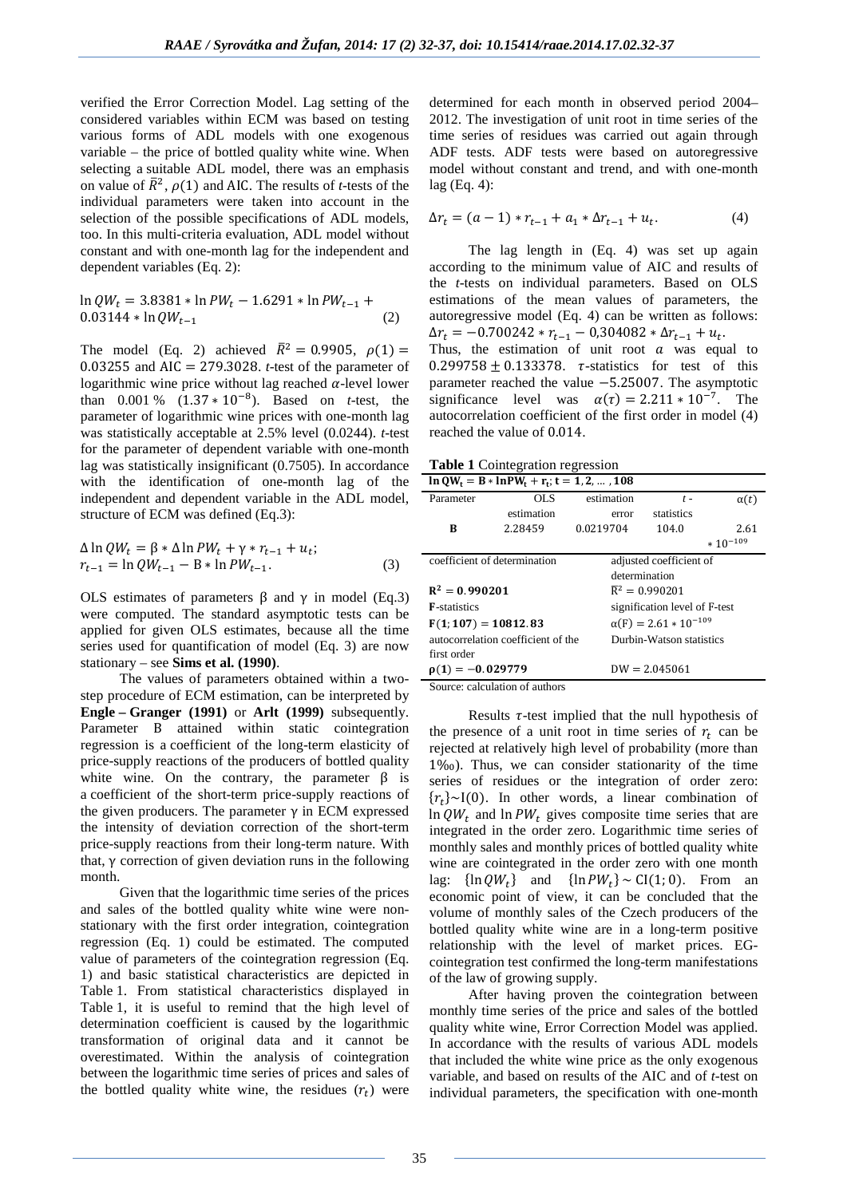verified the Error Correction Model. Lag setting of the considered variables within ECM was based on testing various forms of ADL models with one exogenous variable – the price of bottled quality white wine. When selecting a suitable ADL model, there was an emphasis on value of  $\bar{R}^2$ ,  $\rho(1)$  and AIC. The results of *t*-tests of the individual parameters were taken into account in the selection of the possible specifications of ADL models, too. In this multi-criteria evaluation, ADL model without constant and with one-month lag for the independent and dependent variables (Eq. 2):

$$
\ln QW_t = 3.8381 * \ln PW_t - 1.6291 * \ln PW_{t-1} + 0.03144 * \ln QW_{t-1}
$$
\n(2)

The model (Eq. 2) achieved  $\bar{R}^2 = 0.9905$ ,  $\rho(1) =$ 0.03255 and AIC = 279.3028. *t*-test of the parameter of logarithmic wine price without lag reached  $\alpha$ -level lower than 0.001 % (1.37 ∗ 10−8). Based on *t*-test, the parameter of logarithmic wine prices with one-month lag was statistically acceptable at 2.5% level (0.0244). *t*-test for the parameter of dependent variable with one-month lag was statistically insignificant (0.7505). In accordance with the identification of one-month lag of the independent and dependent variable in the ADL model, structure of ECM was defined (Eq.3):

$$
\Delta \ln QW_t = \beta * \Delta \ln PW_t + \gamma * r_{t-1} + u_t; r_{t-1} = \ln QW_{t-1} - B * \ln PW_{t-1}.
$$
\n(3)

OLS estimates of parameters  $β$  and  $γ$  in model (Eq.3) were computed. The standard asymptotic tests can be applied for given OLS estimates, because all the time series used for quantification of model (Eq. 3) are now stationary – see **Sims et al. (1990)**.

The values of parameters obtained within a twostep procedure of ECM estimation, can be interpreted by **Engle – Granger (1991)** or **Arlt (1999)** subsequently. Parameter B attained within static cointegration regression is a coefficient of the long-term elasticity of price-supply reactions of the producers of bottled quality white wine. On the contrary, the parameter β is a coefficient of the short-term price-supply reactions of the given producers. The parameter  $γ$  in ECM expressed the intensity of deviation correction of the short-term price-supply reactions from their long-term nature. With that, γ correction of given deviation runs in the following month.

Given that the logarithmic time series of the prices and sales of the bottled quality white wine were nonstationary with the first order integration, cointegration regression (Eq. 1) could be estimated. The computed value of parameters of the cointegration regression (Eq. 1) and basic statistical characteristics are depicted in Table 1. From statistical characteristics displayed in Table 1, it is useful to remind that the high level of determination coefficient is caused by the logarithmic transformation of original data and it cannot be overestimated. Within the analysis of cointegration between the logarithmic time series of prices and sales of the bottled quality white wine, the residues  $(r_t)$  were

determined for each month in observed period 2004– 2012. The investigation of unit root in time series of the time series of residues was carried out again through ADF tests. ADF tests were based on autoregressive model without constant and trend, and with one-month lag (Eq. 4):

$$
\Delta r_t = (a-1) * r_{t-1} + a_1 * \Delta r_{t-1} + u_t.
$$
\n(4)

The lag length in (Eq. 4) was set up again according to the minimum value of AIC and results of the *t*-tests on individual parameters. Based on OLS estimations of the mean values of parameters, the autoregressive model (Eq. 4) can be written as follows:  $\Delta r_t = -0.700242 \times r_{t-1} - 0.304082 \times \Delta r_{t-1} + u_t.$ Thus, the estimation of unit root  $\alpha$  was equal to  $0.299758 \pm 0.133378$ .  $\tau$ -statistics for test of this parameter reached the value −5.25007. The asymptotic significance level was  $\alpha(\tau) = 2.211 \times 10^{-7}$ . The autocorrelation coefficient of the first order in model (4) reached the value of 0.014.

**Table 1** Cointegration regression

| OL S<br>estimation<br>Parameter<br>$\alpha(t)$<br>$t -$<br>estimation<br>statistics<br>error<br>2.28459<br>0.0219704<br>104.0<br>в<br>2.61 |  |  |  |  |
|--------------------------------------------------------------------------------------------------------------------------------------------|--|--|--|--|
|                                                                                                                                            |  |  |  |  |
|                                                                                                                                            |  |  |  |  |
|                                                                                                                                            |  |  |  |  |
| $*10^{-109}$                                                                                                                               |  |  |  |  |
| coefficient of determination<br>adjusted coefficient of                                                                                    |  |  |  |  |
| determination                                                                                                                              |  |  |  |  |
| $R^2 = 0.990201$<br>$\overline{R}^2 = 0.990201$                                                                                            |  |  |  |  |
| <b>F</b> -statistics<br>signification level of F-test                                                                                      |  |  |  |  |
| $\alpha(F) = 2.61 * 10^{-109}$<br>$F(1; 107) = 10812.83$                                                                                   |  |  |  |  |
| autocorrelation coefficient of the<br>Durbin-Watson statistics                                                                             |  |  |  |  |
| first order                                                                                                                                |  |  |  |  |
| $\rho(1) = -0.029779$<br>$DW = 2.045061$                                                                                                   |  |  |  |  |

Source: calculation of authors

Results  $\tau$ -test implied that the null hypothesis of the presence of a unit root in time series of  $r_t$  can be rejected at relatively high level of probability (more than 1‰). Thus, we can consider stationarity of the time series of residues or the integration of order zero:  ${r_t}$  ~I(0). In other words, a linear combination of  $\ln QW_t$  and  $\ln PW_t$  gives composite time series that are integrated in the order zero. Logarithmic time series of monthly sales and monthly prices of bottled quality white wine are cointegrated in the order zero with one month lag:  $\{\ln QW_t\}$  and  $\{\ln PW_t\} \sim CI(1, 0)$ . From an economic point of view, it can be concluded that the volume of monthly sales of the Czech producers of the bottled quality white wine are in a long-term positive relationship with the level of market prices. EGcointegration test confirmed the long-term manifestations of the law of growing supply.

After having proven the cointegration between monthly time series of the price and sales of the bottled quality white wine, Error Correction Model was applied. In accordance with the results of various ADL models that included the white wine price as the only exogenous variable, and based on results of the AIC and of *t*-test on individual parameters, the specification with one-month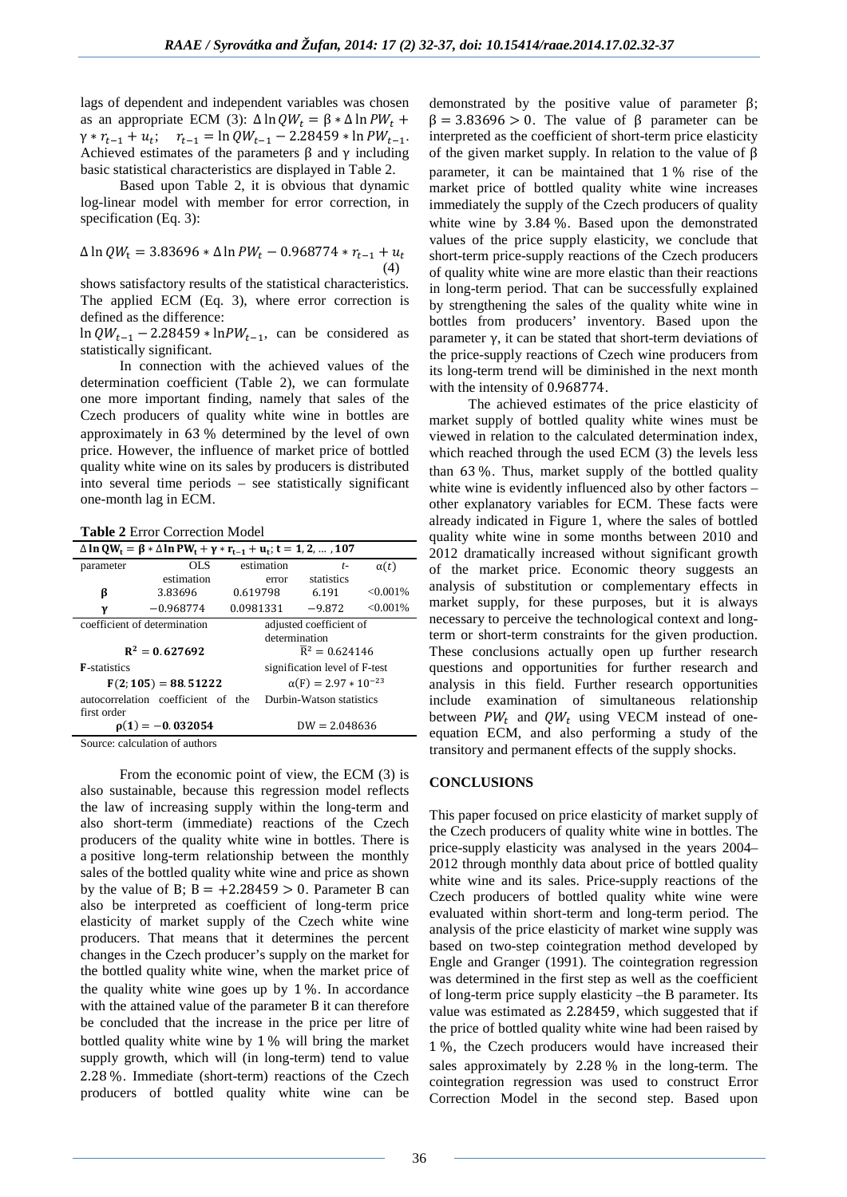lags of dependent and independent variables was chosen as an appropriate ECM (3):  $\Delta \ln QW_t = \beta * \Delta \ln PW_t +$  $\gamma * r_{t-1} + u_t; \quad r_{t-1} = \ln Q W_{t-1} - 2.28459 * \ln PW_{t-1}.$ Achieved estimates of the parameters  $\beta$  and  $\gamma$  including basic statistical characteristics are displayed in Table 2.

Based upon Table 2, it is obvious that dynamic log-linear model with member for error correction, in specification (Eq. 3):

$$
\Delta \ln QW_t = 3.83696 * \Delta \ln PW_t - 0.968774 * r_{t-1} + u_t
$$
\n(4)

shows satisfactory results of the statistical characteristics. The applied ECM (Eq. 3), where error correction is defined as the difference:

ln  $QW_{t-1}$  – 2.28459 \* ln $PW_{t-1}$ , can be considered as statistically significant.

In connection with the achieved values of the determination coefficient (Table 2), we can formulate one more important finding, namely that sales of the Czech producers of quality white wine in bottles are approximately in 63 % determined by the level of own price. However, the influence of market price of bottled quality white wine on its sales by producers is distributed into several time periods – see statistically significant one-month lag in ECM.

**Table 2** Error Correction Model

| $Δ ln QW_t = β * Δ ln PW_t + γ * r_{t-1} + u_t$ ; t = 1, 2, , 107 |                                    |                               |                          |             |  |  |
|-------------------------------------------------------------------|------------------------------------|-------------------------------|--------------------------|-------------|--|--|
| parameter                                                         | OL S                               | estimation                    | $t-$                     | $\alpha(t)$ |  |  |
|                                                                   | estimation                         | error                         | statistics               |             |  |  |
| ß                                                                 | 3.83696                            | 0.619798                      | 6.191                    | $< 0.001\%$ |  |  |
| γ                                                                 | $-0.968774$                        | 0.0981331                     | $-9.872$                 | $< 0.001\%$ |  |  |
| coefficient of determination<br>adjusted coefficient of           |                                    |                               |                          |             |  |  |
| determination                                                     |                                    |                               |                          |             |  |  |
| $R^2 = 0.627692$                                                  |                                    | $\bar{R}^2 = 0.624146$        |                          |             |  |  |
| <b>F</b> -statistics                                              |                                    | signification level of F-test |                          |             |  |  |
|                                                                   | $F(2; 105) = 88.51222$             | $\alpha(F) = 2.97 * 10^{-23}$ |                          |             |  |  |
|                                                                   | autocorrelation coefficient of the |                               | Durbin-Watson statistics |             |  |  |
| first order                                                       |                                    |                               |                          |             |  |  |
|                                                                   | $\rho(1) = -0.032054$              | $DW = 2.048636$               |                          |             |  |  |

Source: calculation of authors

From the economic point of view, the ECM (3) is also sustainable, because this regression model reflects the law of increasing supply within the long-term and also short-term (immediate) reactions of the Czech producers of the quality white wine in bottles. There is a positive long-term relationship between the monthly sales of the bottled quality white wine and price as shown by the value of B;  $B = +2.28459 > 0$ . Parameter B can also be interpreted as coefficient of long-term price elasticity of market supply of the Czech white wine producers. That means that it determines the percent changes in the Czech producer's supply on the market for the bottled quality white wine, when the market price of the quality white wine goes up by  $1\%$ . In accordance with the attained value of the parameter B it can therefore be concluded that the increase in the price per litre of bottled quality white wine by 1 % will bring the market supply growth, which will (in long-term) tend to value 2.28 %. Immediate (short-term) reactions of the Czech producers of bottled quality white wine can be

demonstrated by the positive value of parameter β;  $β = 3.83696 > 0$ . The value of β parameter can be interpreted as the coefficient of short-term price elasticity of the given market supply. In relation to the value of β parameter, it can be maintained that 1 % rise of the market price of bottled quality white wine increases immediately the supply of the Czech producers of quality white wine by 3.84 %. Based upon the demonstrated values of the price supply elasticity, we conclude that short-term price-supply reactions of the Czech producers of quality white wine are more elastic than their reactions in long-term period. That can be successfully explained by strengthening the sales of the quality white wine in bottles from producers' inventory. Based upon the parameter γ, it can be stated that short-term deviations of the price-supply reactions of Czech wine producers from its long-term trend will be diminished in the next month with the intensity of 0.968774.

The achieved estimates of the price elasticity of market supply of bottled quality white wines must be viewed in relation to the calculated determination index, which reached through the used ECM (3) the levels less than 63 %. Thus, market supply of the bottled quality white wine is evidently influenced also by other factors – other explanatory variables for ECM. These facts were already indicated in Figure 1, where the sales of bottled quality white wine in some months between 2010 and 2012 dramatically increased without significant growth of the market price. Economic theory suggests an analysis of substitution or complementary effects in market supply, for these purposes, but it is always necessary to perceive the technological context and longterm or short-term constraints for the given production. These conclusions actually open up further research questions and opportunities for further research and analysis in this field. Further research opportunities include examination of simultaneous relationship between  $PW_t$  and  $QW_t$  using VECM instead of oneequation ECM, and also performing a study of the transitory and permanent effects of the supply shocks.

### **CONCLUSIONS**

This paper focused on price elasticity of market supply of the Czech producers of quality white wine in bottles. The price-supply elasticity was analysed in the years 2004– 2012 through monthly data about price of bottled quality white wine and its sales. Price-supply reactions of the Czech producers of bottled quality white wine were evaluated within short-term and long-term period. The analysis of the price elasticity of market wine supply was based on two-step cointegration method developed by Engle and Granger (1991). The cointegration regression was determined in the first step as well as the coefficient of long-term price supply elasticity –the B parameter. Its value was estimated as 2.28459, which suggested that if the price of bottled quality white wine had been raised by 1 %, the Czech producers would have increased their sales approximately by 2.28 % in the long-term. The cointegration regression was used to construct Error Correction Model in the second step. Based upon